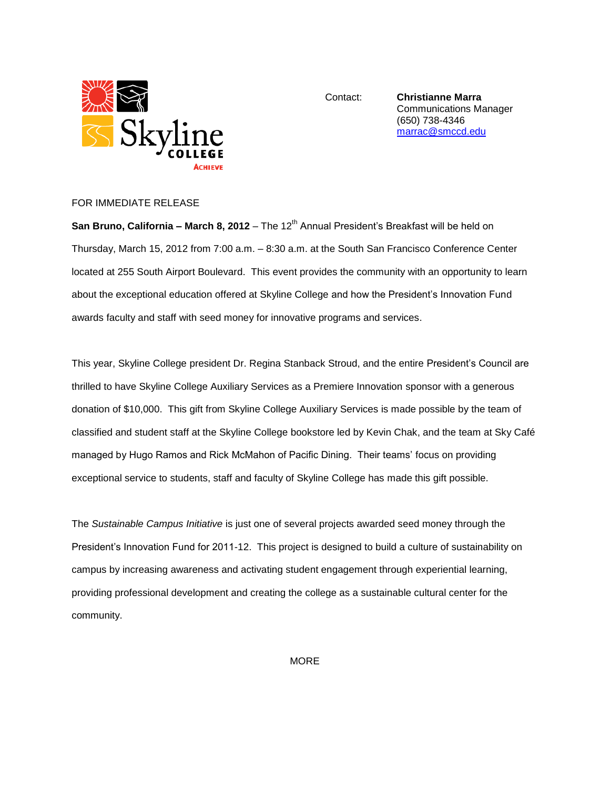

Contact: **Christianne Marra** Communications Manager (650) 738-4346 [marrac@smccd.edu](mailto:marrac@smccd.edu)

## FOR IMMEDIATE RELEASE

San Bruno, California – March 8, 2012 – The 12<sup>th</sup> Annual President's Breakfast will be held on Thursday, March 15, 2012 from 7:00 a.m. – 8:30 a.m. at the South San Francisco Conference Center located at 255 South Airport Boulevard. This event provides the community with an opportunity to learn about the exceptional education offered at Skyline College and how the President's Innovation Fund awards faculty and staff with seed money for innovative programs and services.

This year, Skyline College president Dr. Regina Stanback Stroud, and the entire President's Council are thrilled to have Skyline College Auxiliary Services as a Premiere Innovation sponsor with a generous donation of \$10,000. This gift from Skyline College Auxiliary Services is made possible by the team of classified and student staff at the Skyline College bookstore led by Kevin Chak, and the team at Sky Café managed by Hugo Ramos and Rick McMahon of Pacific Dining. Their teams' focus on providing exceptional service to students, staff and faculty of Skyline College has made this gift possible.

The *Sustainable Campus Initiative* is just one of several projects awarded seed money through the President's Innovation Fund for 2011-12. This project is designed to build a culture of sustainability on campus by increasing awareness and activating student engagement through experiential learning, providing professional development and creating the college as a sustainable cultural center for the community.

**MORE**